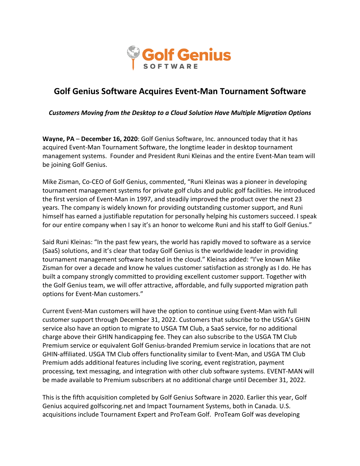

## **Golf Genius Software Acquires Event-Man Tournament Software**

*Customers Moving from the Desktop to a Cloud Solution Have Multiple Migration Options*

**Wayne, PA** – **December 16, 2020**: Golf Genius Software, Inc. announced today that it has acquired Event-Man Tournament Software, the longtime leader in desktop tournament management systems. Founder and President Runi Kleinas and the entire Event-Man team will be joining Golf Genius.

Mike Zisman, Co-CEO of Golf Genius, commented, "Runi Kleinas was a pioneer in developing tournament management systems for private golf clubs and public golf facilities. He introduced the first version of Event-Man in 1997, and steadily improved the product over the next 23 years. The company is widely known for providing outstanding customer support, and Runi himself has earned a justifiable reputation for personally helping his customers succeed. I speak for our entire company when I say it's an honor to welcome Runi and his staff to Golf Genius."

Said Runi Kleinas: "In the past few years, the world has rapidly moved to software as a service (SaaS) solutions, and it's clear that today Golf Genius is the worldwide leader in providing tournament management software hosted in the cloud." Kleinas added: "I've known Mike Zisman for over a decade and know he values customer satisfaction as strongly as I do. He has built a company strongly committed to providing excellent customer support. Together with the Golf Genius team, we will offer attractive, affordable, and fully supported migration path options for Event-Man customers."

Current Event-Man customers will have the option to continue using Event-Man with full customer support through December 31, 2022. Customers that subscribe to the USGA's GHIN service also have an option to migrate to USGA TM Club, a SaaS service, for no additional charge above their GHIN handicapping fee. They can also subscribe to the USGA TM Club Premium service or equivalent Golf Genius-branded Premium service in locations that are not GHIN-affiliated. USGA TM Club offers functionality similar to Event-Man, and USGA TM Club Premium adds additional features including live scoring, event registration, payment processing, text messaging, and integration with other club software systems. EVENT-MAN will be made available to Premium subscribers at no additional charge until December 31, 2022.

This is the fifth acquisition completed by Golf Genius Software in 2020. Earlier this year, Golf Genius acquired golfscoring.net and Impact Tournament Systems, both in Canada. U.S. acquisitions include Tournament Expert and ProTeam Golf. ProTeam Golf was developing